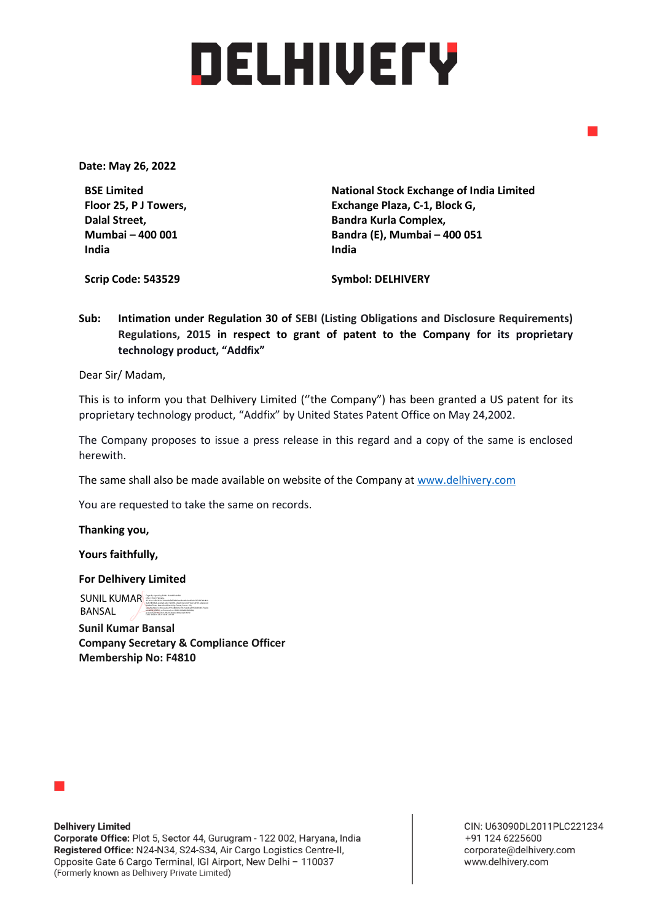## DELHIUETY

**Date: May 26, 2022**

**BSE Limited Floor 25, P J Towers, Dalal Street, Mumbai – 400 001 India**

**National Stock Exchange of India Limited Exchange Plaza, C-1, Block G, Bandra Kurla Complex, Bandra (E), Mumbai – 400 051 India** 

**Scrip Code: 543529**

**Symbol: DELHIVERY**

**Sub: Intimation under Regulation 30 of SEBI (Listing Obligations and Disclosure Requirements) Regulations, 2015 in respect to grant of patent to the Company for its proprietary technology product, "Addfix"**

Dear Sir/ Madam,

This is to inform you that Delhivery Limited (''the Company") has been granted a US patent for its proprietary technology product, "Addfix" by United States Patent Office on May 24,2002.

The Company proposes to issue a press release in this regard and a copy of the same is enclosed herewith.

The same shall also be made available on website of the Company at [www.delhivery.com](http://www.delhivery.com/)

You are requested to take the same on records.

**Thanking you,**

**Yours faithfully,**

**For Delhivery Limited**

SUNIL KUMAR BANSAL BANSAL BANSAL BANSAL BANSAL BANSAL BANSAL BANSAL BANSAL BANSAL BANSAL BANSAL BANSAL BANSAL <br>DIGITALLY SECOND DIGITALLY BANSAL BANSAL BANSAL BANSAL BANSAL BANSAL BANSAL BANSAL BANSAL BANSAL BANSAL BANSAL BANSAL Malibu Town, Near Good Earth City Center, Sector - 50, serialNumber=e1b5caf2ee74555885fe1e33615a0dcad915d4d344573ce0e b31a0521af9ff23, o=Personal, cn=SUNIL KUMAR BANSAL, pseudonym=61d3cc1a94a361ba0e592dec4e373550 Date: 2022.05.26 21:20:45 +05'30'

**Sunil Kumar Bansal Company Secretary & Compliance Officer Membership No: F4810**



**Delhivery Limited** Corporate Office: Plot 5, Sector 44, Gurugram - 122 002, Haryana, India Registered Office: N24-N34, S24-S34, Air Cargo Logistics Centre-II, Opposite Gate 6 Cargo Terminal, IGI Airport, New Delhi - 110037 (Formerly known as Delhivery Private Limited)

CIN: U63090DL2011PLC221234 +91 124 6225600 corporate@delhivery.com www.delhivery.com